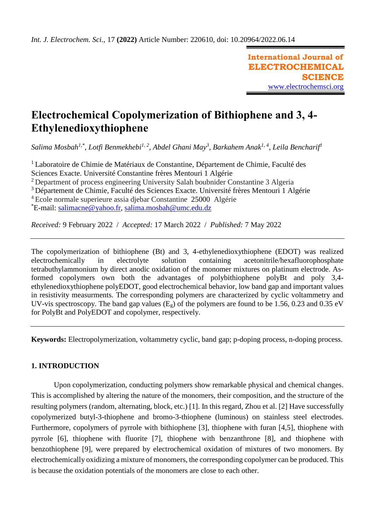**International Journal of ELECTROCHEMICAL SCIENCE** [www.electrochemsci.org](http://www.electrochemsci.org/)

# **Electrochemical Copolymerization of Bithiophene and 3, 4- Ethylenedioxythiophene**

*Salima Mosbah1,\*, Lotfi Benmekhebi1, 2, Abdel Ghani May<sup>3</sup> , Barkahem Anak1, 4, Leila Bencharif<sup>1</sup>*

<sup>1</sup> Laboratoire de Chimie de Matériaux de Constantine, Département de Chimie, Faculté des Sciences Exacte. Université Constantine frères Mentouri 1 Algérie

<sup>2</sup> Department of process engineering University Salah boubnider Constantine 3 Algeria

<sup>3</sup> Département de Chimie, Faculté des Sciences Exacte. Université frères Mentouri 1 Algérie

<sup>4</sup> Ecole normale superieure assia djebar Constantine 25000 Algérie

\*E-mail: [salimacne@yahoo.fr,](mailto:salimacne@yahoo.fr) [salima.mosbah@umc.edu.dz](mailto:salima.mosbah@umc.edu.dz)

*Received:* 9 February 2022/ *Accepted:* 17 March 2022 / *Published:* 7 May 2022

The copolymerization of bithiophene (Bt) and 3, 4-ethylenedioxythiophene (EDOT) was realized electrochemically in electrolyte solution containing acetonitrile/hexafluorophosphate tetrabuthylammonium by direct anodic oxidation of the monomer mixtures on platinum electrode. Asformed copolymers own both the advantages of polybithiophene polyBt and poly 3,4 ethylenedioxythiophene polyEDOT, good electrochemical behavior, low band gap and important values in resistivity measurments. The corresponding polymers are characterized by cyclic voltammetry and UV-vis spectroscopy. The band gap values  $(E_g)$  of the polymers are found to be 1.56, 0.23 and 0.35 eV for PolyBt and PolyEDOT and copolymer, respectively.

**Keywords:** Electropolymerization, voltammetry cyclic, band gap; p-doping process, n-doping process.

# **1. INTRODUCTION**

Upon copolymerization, conducting polymers show remarkable physical and chemical changes. This is accomplished by altering the nature of the monomers, their composition, and the structure of the resulting polymers (random, alternating, block, etc.) [1]. In this regard, Zhou et al. [2] Have successfully copolymerized butyl-3-thiophene and bromo-3-thiophene (luminous) on stainless steel electrodes. Furthermore, copolymers of pyrrole with bithiophene [3], thiophene with furan [4,5], thiophene with pyrrole [6], thiophene with fluorite [7], thiophene with benzanthrone [8], and thiophene with benzothiophene [9], were prepared by electrochemical oxidation of mixtures of two monomers. By electrochemically oxidizing a mixture of monomers, the corresponding copolymer can be produced. This is because the oxidation potentials of the monomers are close to each other.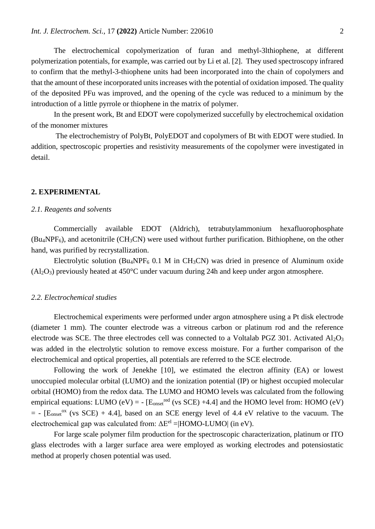The electrochemical copolymerization of furan and methyl-3lthiophene, at different polymerization potentials, for example, was carried out by Li et al. [2]. They used spectroscopy infrared to confirm that the methyl-3-thiophene units had been incorporated into the chain of copolymers and that the amount of these incorporated units increases with the potential of oxidation imposed. The quality of the deposited PFu was improved, and the opening of the cycle was reduced to a minimum by the introduction of a little pyrrole or thiophene in the matrix of polymer.

In the present work, Bt and EDOT were copolymerized succefully by electrochemical oxidation of the monomer mixtures

The electrochemistry of PolyBt, PolyEDOT and copolymers of Bt with EDOT were studied. In addition, spectroscopic properties and resistivity measurements of the copolymer were investigated in detail.

## **2. EXPERIMENTAL**

## *2.1. Reagents and solvents*

Commercially available EDOT (Aldrich), tetrabutylammonium hexafluorophosphate  $(Bu_4NPF_6)$ , and acetonitrile  $(CH_3CN)$  were used without further purification. Bithiophene, on the other hand, was purified by recrystallization.

Electrolytic solution (Bu<sub>4</sub>NPF<sub>6</sub> 0.1 M in CH<sub>3</sub>CN) was dried in presence of Aluminum oxide  $(Al<sub>2</sub>O<sub>3</sub>)$  previously heated at 450°C under vacuum during 24h and keep under argon atmosphere.

## *2.2. Electrochemical studies*

Electrochemical experiments were performed under argon atmosphere using a Pt disk electrode (diameter 1 mm). The counter electrode was a vitreous carbon or platinum rod and the reference electrode was SCE. The three electrodes cell was connected to a Voltalab PGZ 301. Activated Al<sub>2</sub>O<sub>3</sub> was added in the electrolytic solution to remove excess moisture. For a further comparison of the electrochemical and optical properties, all potentials are referred to the SCE electrode.

Following the work of Jenekhe [10], we estimated the electron affinity (EA) or lowest unoccupied molecular orbital (LUMO) and the ionization potential (IP) or highest occupied molecular orbital (HOMO) from the redox data. The LUMO and HOMO levels was calculated from the following empirical equations: LUMO (eV) =  $-[E<sub>onset</sub><sup>red</sup>$  (vs SCE) +4.4] and the HOMO level from: HOMO (eV)  $=$  - [E<sub>onset</sub><sup>ox</sup> (vs SCE) + 4.4], based on an SCE energy level of 4.4 eV relative to the vacuum. The electrochemical gap was calculated from:  $\Delta E^{el} = |HOMO-LUMO|$  (in eV).

For large scale polymer film production for the spectroscopic characterization, platinum or ITO glass electrodes with a larger surface area were employed as working electrodes and potensiostatic method at properly chosen potential was used.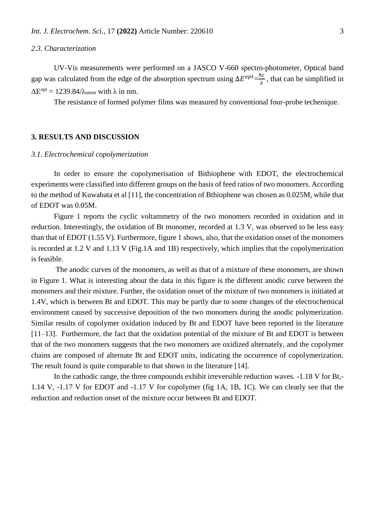#### *2.3. Characterization*

UV-Vis measurements were performed on a JASCO V-660 spectro-photometer, Optical band gap was calculated from the edge of the absorption spectrum using  $\Delta E^{opt} = \frac{hc}{\lambda}$  $\frac{\pi}{\lambda}$ , that can be simplified in  $\Delta E^{\text{opt}} = 1239.84/\lambda_{\text{onset}}$  with  $\lambda$  in nm.

The resistance of formed polymer films was measured by conventional four-probe techenique.

# **3. RESULTS AND DISCUSSION**

#### *3.1. Electrochemical copolymerization*

In order to ensure the copolymerisation of Bithiophene with EDOT, the electrochemical experiments were classified into different groups on the basis of feed ratios of two monomers. According to the method of Kuwabata et al [11], the concentration of Bthiophene was chosen as 0.025M, while that of EDOT was 0.05M.

Figure 1 reports the cyclic voltammetry of the two monomers recorded in oxidation and in reduction. Interestingly, the oxidation of Bt monomer, recorded at 1.3 V, was observed to be less easy than that of EDOT (1.55 V). Furthermore, figure 1 shows, also, that the oxidation onset of the monomers is recorded at 1.2 V and 1.13 V (Fig.1A and 1B) respectively, which implies that the copolymerization is feasible.

The anodic curves of the monomers, as well as that of a mixture of these monomers, are shown in Figure 1. What is interesting about the data in this figure is the different anodic curve between the monomers and their mixture. Further, the oxidation onset of the mixture of two monomers is initiated at 1.4V, which is between Bt and EDOT. This may be partly due to some changes of the electrochemical environment caused by successive deposition of the two monomers during the anodic polymerization. Similar results of copolymer oxidation induced by Bt and EDOT have been reported in the literature [11–13]. Furthermore, the fact that the oxidation potential of the mixture of Bt and EDOT is between that of the two monomers suggests that the two monomers are oxidized alternately, and the copolymer chains are composed of alternate Bt and EDOT units, indicating the occurrence of copolymerization. The result found is quite comparable to that shown in the literature [14].

In the cathodic range, the three compounds exhibit irreversible reduction waves. -1.18 V for Bt,- 1.14 V, -1.17 V for EDOT and -1.17 V for copolymer (fig 1A, 1B, 1C). We can clearly see that the reduction and reduction onset of the mixture occur between Bt and EDOT.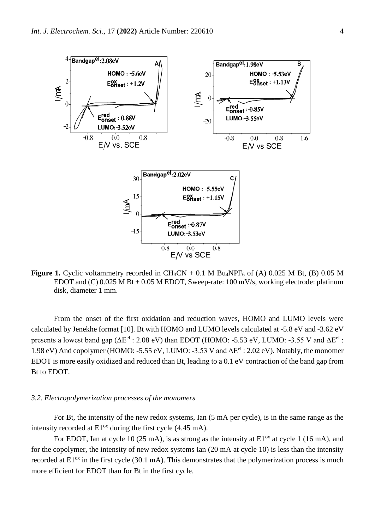

**Figure 1.** Cyclic voltammetry recorded in CH<sub>3</sub>CN + 0.1 M Bu<sub>4</sub>NPF<sub>6</sub> of (A) 0.025 M Bt, (B) 0.05 M EDOT and (C) 0.025 M Bt + 0.05 M EDOT, Sweep-rate: 100 mV/s, working electrode: platinum disk, diameter 1 mm.

From the onset of the first oxidation and reduction waves, HOMO and LUMO levels were calculated by Jenekhe format [10]. Bt with HOMO and LUMO levels calculated at -5.8 eV and -3.62 eV presents a lowest band gap ( $\Delta E^{el}$ : 2.08 eV) than EDOT (HOMO: -5.53 eV, LUMO: -3.55 V and  $\Delta E^{el}$ : 1.98 eV) And copolymer (HOMO: -5.55 eV, LUMO: -3.53 V and ΔEel : 2.02 eV). Notably, the monomer EDOT is more easily oxidized and reduced than Bt, leading to a 0.1 eV contraction of the band gap from Bt to EDOT.

#### *3.2. Electropolymerization processes of the monomers*

For Bt, the intensity of the new redox systems, Ian (5 mA per cycle), is in the same range as the intensity recorded at  $E1<sup>ox</sup>$  during the first cycle (4.45 mA).

For EDOT, Ian at cycle 10 (25 mA), is as strong as the intensity at  $E1<sup>ox</sup>$  at cycle 1 (16 mA), and for the copolymer, the intensity of new redox systems Ian (20 mA at cycle 10) is less than the intensity recorded at  $E1<sup>ox</sup>$  in the first cycle (30.1 mA). This demonstrates that the polymerization process is much more efficient for EDOT than for Bt in the first cycle.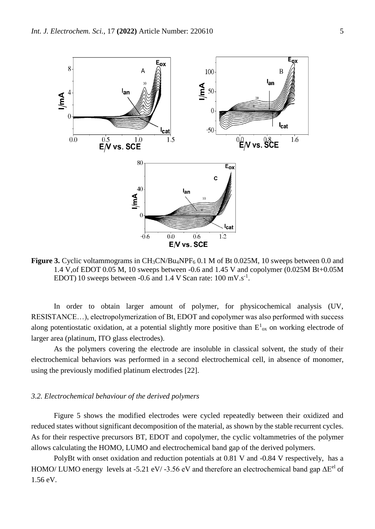

**Figure 3.** Cyclic voltammograms in CH<sub>3</sub>CN/Bu<sub>4</sub>NPF<sub>6</sub> 0.1 M of Bt 0.025M, 10 sweeps between 0.0 and 1.4 V,of EDOT 0.05 M, 10 sweeps between -0.6 and 1.45 V and copolymer (0.025M Bt+0.05M EDOT) 10 sweeps between -0.6 and 1.4 V Scan rate:  $100 \text{ mV} \cdot \text{s}^{-1}$ .

In order to obtain larger amount of polymer, for physicochemical analysis (UV, RESISTANCE…), electropolymerization of Bt, EDOT and copolymer was also performed with success along potentiostatic oxidation, at a potential slightly more positive than  $E^1{}_{ox}$  on working electrode of larger area (platinum, ITO glass electrodes).

As the polymers covering the electrode are insoluble in classical solvent, the study of their electrochemical behaviors was performed in a second electrochemical cell, in absence of monomer, using the previously modified platinum electrodes [22].

# *3.2. Electrochemical behaviour of the derived polymers*

Figure 5 shows the modified electrodes were cycled repeatedly between their oxidized and reduced states without significant decomposition of the material, as shown by the stable recurrent cycles. As for their respective precursors BT, EDOT and copolymer, the cyclic voltammetries of the polymer allows calculating the HOMO, LUMO and electrochemical band gap of the derived polymers.

PolyBt with onset oxidation and reduction potentials at 0.81 V and -0.84 V respectively, has a HOMO/ LUMO energy levels at -5.21 eV/ -3.56 eV and therefore an electrochemical band gap  $\Delta E^{el}$  of 1.56 eV.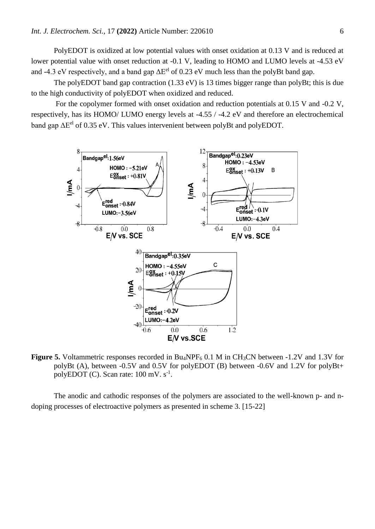PolyEDOT is oxidized at low potential values with onset oxidation at 0.13 V and is reduced at lower potential value with onset reduction at -0.1 V, leading to HOMO and LUMO levels at -4.53 eV and -4.3 eV respectively, and a band gap  $\Delta E^{el}$  of 0.23 eV much less than the polyBt band gap.

The polyEDOT band gap contraction (1.33 eV) is 13 times bigger range than polyBt; this is due to the high conductivity of polyEDOT when oxidized and reduced.

For the copolymer formed with onset oxidation and reduction potentials at 0.15 V and -0.2 V, respectively, has its HOMO/ LUMO energy levels at -4.55 / -4.2 eV and therefore an electrochemical band gap  $\Delta E^{el}$  of 0.35 eV. This values intervenient between polyBt and polyEDOT.



**Figure 5.** Voltammetric responses recorded in Bu<sub>4</sub>NPF<sub>6</sub> 0.1 M in CH<sub>3</sub>CN between -1.2V and 1.3V for polyBt (A), between -0.5V and 0.5V for polyEDOT (B) between -0.6V and 1.2V for polyBt+ polyEDOT (C). Scan rate:  $100 \text{ mV}$ .  $\text{s}^{-1}$ .

The anodic and cathodic responses of the polymers are associated to the well-known p- and ndoping processes of electroactive polymers as presented in scheme 3. [15-22]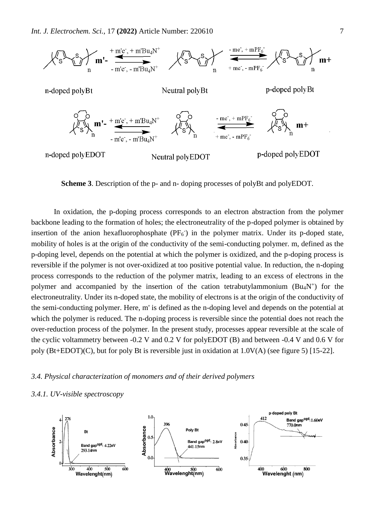

**Scheme 3**. Description of the p- and n- doping processes of polyBt and polyEDOT.

In oxidation, the p-doping process corresponds to an electron abstraction from the polymer backbone leading to the formation of holes; the electroneutrality of the p-doped polymer is obtained by insertion of the anion hexafluorophosphate (PF<sub>6</sub><sup>-</sup>) in the polymer matrix. Under its p-doped state, mobility of holes is at the origin of the conductivity of the semi-conducting polymer. m, defined as the p-doping level, depends on the potential at which the polymer is oxidized, and the p-doping process is reversible if the polymer is not over-oxidized at too positive potential value. In reduction, the n-doping process corresponds to the reduction of the polymer matrix, leading to an excess of electrons in the polymer and accompanied by the insertion of the cation tetrabutylammonium  $(Bu<sub>4</sub>N<sup>+</sup>)$  for the electroneutrality. Under its n-doped state, the mobility of electrons is at the origin of the conductivity of the semi-conducting polymer. Here, m' is defined as the n-doping level and depends on the potential at which the polymer is reduced. The n-doping process is reversible since the potential does not reach the over-reduction process of the polymer. In the present study, processes appear reversible at the scale of the cyclic voltammetry between -0.2 V and 0.2 V for polyEDOT (B) and between -0.4 V and 0.6 V for poly (Bt+EDOT)(C), but for poly Bt is reversible just in oxidation at 1.0V(A) (see figure 5) [15-22].

# *3.4. Physical characterization of monomers and of their derived polymers*

## *3.4.1. UV-visible spectroscopy*

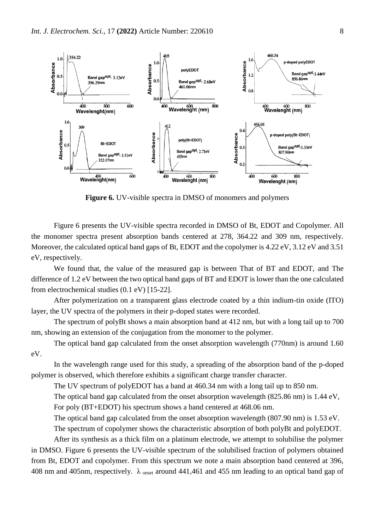

**Figure 6.** UV-visible spectra in DMSO of monomers and polymers

Figure 6 presents the UV-visible spectra recorded in DMSO of Bt, EDOT and Copolymer. All the monomer spectra present absorption bands centered at 278, 364.22 and 309 nm, respectively. Moreover, the calculated optical band gaps of Bt, EDOT and the copolymer is 4.22 eV, 3.12 eV and 3.51 eV, respectively.

We found that, the value of the measured gap is between That of BT and EDOT, and The difference of 1.2 eV between the two optical band gaps of BT and EDOT is lower than the one calculated from electrochemical studies (0.1 eV) [15-22].

After polymerization on a transparent glass electrode coated by a thin indium-tin oxide (ITO) layer, the UV spectra of the polymers in their p-doped states were recorded.

The spectrum of polyBt shows a main absorption band at 412 nm, but with a long tail up to 700 nm, showing an extension of the conjugation from the monomer to the polymer.

The optical band gap calculated from the onset absorption wavelength (770nm) is around 1.60 eV.

In the wavelength range used for this study, a spreading of the absorption band of the p-doped polymer is observed, which therefore exhibits a significant charge transfer character.

The UV spectrum of polyEDOT has a band at 460.34 nm with a long tail up to 850 nm.

The optical band gap calculated from the onset absorption wavelength (825.86 nm) is 1.44 eV, For poly (BT+EDOT) his spectrum shows a band centered at 468.06 nm.

The optical band gap calculated from the onset absorption wavelength (807.90 nm) is 1.53 eV.

The spectrum of copolymer shows the characteristic absorption of both polyBt and polyEDOT.

After its synthesis as a thick film on a platinum electrode, we attempt to solubilise the polymer in DMSO. Figure 6 presents the UV-visible spectrum of the solubilised fraction of polymers obtained from Bt, EDOT and copolymer. From this spectrum we note a main absorption band centered at 396, 408 nm and 405nm, respectively.  $\lambda$  onset around 441,461 and 455 nm leading to an optical band gap of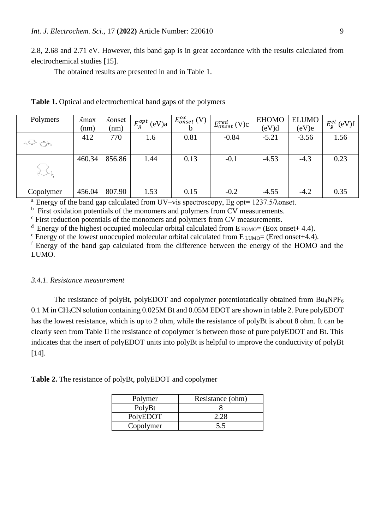2.8, 2.68 and 2.71 eV. However, this band gap is in great accordance with the results calculated from electrochemical studies [15].

The obtained results are presented in and in Table 1.

| Polymers  | Amax   | <i>Konset</i> | $E_{g}^{opt}$ (eV)a | $E_{onset}^{ox}$ (V) | $E_{onset}^{red}$ (V)c | <b>EHOMO</b> | <b>ELUMO</b> | $E_g^{el}$ (eV)f |
|-----------|--------|---------------|---------------------|----------------------|------------------------|--------------|--------------|------------------|
|           | (nm)   | (nm)          |                     |                      |                        | (eV)d        | (eV)e        |                  |
|           | 412    | 770           | 1.6                 | 0.81                 | $-0.84$                | $-5.21$      | $-3.56$      | 1.56             |
|           |        |               |                     |                      |                        |              |              |                  |
|           | 460.34 | 856.86        | 1.44                | 0.13                 | $-0.1$                 | $-4.53$      | $-4.3$       | 0.23             |
|           |        |               |                     |                      |                        |              |              |                  |
|           |        |               |                     |                      |                        |              |              |                  |
| Copolymer | 456.04 | 807.90        | 1.53                | 0.15                 | $-0.2$                 | $-4.55$      | $-4.2$       | 0.35             |

**Table 1.** Optical and electrochemical band gaps of the polymers

<sup>a</sup> Energy of the band gap calculated from UV–vis spectroscopy, Eg opt= 1237.5/λonset.

<sup>b</sup> First oxidation potentials of the monomers and polymers from CV measurements.

<sup>c</sup> First reduction potentials of the monomers and polymers from CV measurements.

<sup>d</sup> Energy of the highest occupied molecular orbital calculated from  $E_{HOMO} = (Eox \text{ onset} + 4.4)$ .

 $e^e$  Energy of the lowest unoccupied molecular orbital calculated from  $E_{LUMO}$  (Ered onset+4.4).

<sup>f</sup> Energy of the band gap calculated from the difference between the energy of the HOMO and the LUMO.

#### *3.4.1. Resistance measurement*

The resistance of polyBt, polyEDOT and copolymer potentiotatically obtained from Bu<sub>4</sub>NPF<sub>6</sub> 0.1 M in CH3CN solution containing 0.025M Bt and 0.05M EDOT are shown in table 2. Pure polyEDOT has the lowest resistance, which is up to 2 ohm, while the resistance of polyBt is about 8 ohm. It can be clearly seen from Table II the resistance of copolymer is between those of pure polyEDOT and Bt. This indicates that the insert of polyEDOT units into polyBt is helpful to improve the conductivity of polyBt [14].

**Table 2.** The resistance of polyBt, polyEDOT and copolymer

| Polymer   | Resistance (ohm) |  |  |  |  |
|-----------|------------------|--|--|--|--|
| PolyBt    |                  |  |  |  |  |
| PolyEDOT  |                  |  |  |  |  |
| Copolymer |                  |  |  |  |  |